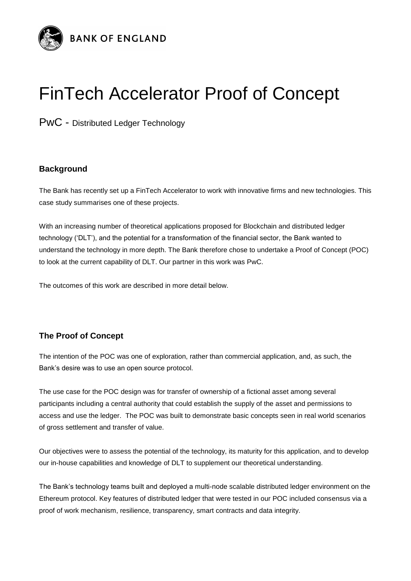

## FinTech Accelerator Proof of Concept

PwC - Distributed Ledger Technology

## **Background**

The Bank has recently set up a FinTech Accelerator to work with innovative firms and new technologies. This case study summarises one of these projects.

With an increasing number of theoretical applications proposed for Blockchain and distributed ledger technology ('DLT'), and the potential for a transformation of the financial sector, the Bank wanted to understand the technology in more depth. The Bank therefore chose to undertake a Proof of Concept (POC) to look at the current capability of DLT. Our partner in this work was PwC.

The outcomes of this work are described in more detail below.

## **The Proof of Concept**

The intention of the POC was one of exploration, rather than commercial application, and, as such, the Bank's desire was to use an open source protocol.

The use case for the POC design was for transfer of ownership of a fictional asset among several participants including a central authority that could establish the supply of the asset and permissions to access and use the ledger. The POC was built to demonstrate basic concepts seen in real world scenarios of gross settlement and transfer of value.

Our objectives were to assess the potential of the technology, its maturity for this application, and to develop our in-house capabilities and knowledge of DLT to supplement our theoretical understanding.

The Bank's technology teams built and deployed a multi-node scalable distributed ledger environment on the Ethereum protocol. Key features of distributed ledger that were tested in our POC included consensus via a proof of work mechanism, resilience, transparency, smart contracts and data integrity.